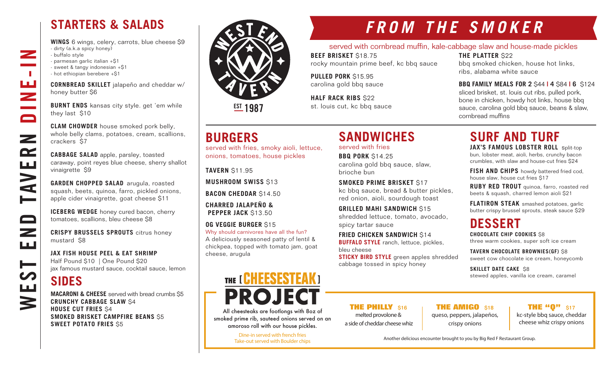## **STARTERS & SALADS**

**WINGS** 6 wings, celery, carrots, blue cheese \$9 - dirty (a.k.a spicy honey) - buffalo style - parmesan garlic italian +\$1 - sweet & tangy indonesian +\$1 - hot ethiopian berebere +\$1

**CORNBREAD SKILLET** jalapeño and cheddar w/ honey butter \$6

**BURNT ENDS** kansas city style. get 'em while they last \$10

**CLAM CHOWDER** house smoked pork belly, whole belly clams, potatoes, cream, scallions, crackers \$7

**CABBAGE SALAD** apple, parsley, toasted caraway, point reyes blue cheese, sherry shallot vinaigrette \$9

**GARDEN CHOPPED SALAD** arugula, roasted squash, beets, quinoa, farro, pickled onions, apple cider vinaigrette, goat cheese \$11

**ICEBERG WEDGE** honey cured bacon, cherry tomatoes, scallions, bleu cheese \$8

**CRISPY BRUSSELS SPROUTS** citrus honey mustard \$8

**JAX FISH HOUSE PEEL & EAT SHRIMP** Half Pound \$10 | One Pound \$20 jax famous mustard sauce, cocktail sauce, lemon

### **SIDES**

WEST END TAVERN DINE-IN

 $\overline{\phantom{a}}$ 

 $\mathcal{L}_{\mathrm{max}}$ ш Z

 $\blacksquare$ 

 $\mathbf{z}$ 

 $\mathbf{r}$ 

**NVE** 

صط

 $\qquad \qquad \Box$ 

 $\overline{\phantom{0}}$ ШÚ

▅

Щ

3

**MACARONI & CHEESE** served with bread crumbs \$5 **CRUNCHY CABBAGE SLAW** \$4 **HOUSE CUT FRIES** \$4 **SMOKED BRISKET CAMPFIRE BEANS** \$5 **SWEET POTATO FRIES** \$5



**EST 1987** 

### **BURGERS**

served with fries, smoky aioli, lettuce, onions, tomatoes, house pickles

**TAVERN** \$11.95

cheese, arugula

**MUSHROOM SWISS** \$13

**BACON CHEDDAR** \$14.50

**CHARRED JALAPEÑO & PEPPER JACK \$13.50** 

**OG VEGGIE BURGER** \$15 Why should carnivores have all the fun? A deliciously seasoned patty of lentil & chickpea, topped with tomato jam, goat

# THE [ **CHEESESTEAK** ] **PROJECT**

All cheesteaks are footlongs with 8oz of smoked prime rib, sauteed onions served on an amoroso roll with our house pickles.

> Dine-in served with french fries Take-out served with Boulder chips

# **FROM THE SMOKER**

### served with cornbread muffin, kale-cabbage slaw and house-made pickles

**BEEF BRISKET** \$18.75 rocky mountain prime beef, kc bbq sauce

**PULLED PORK** \$15.95 carolina gold bbq sauce

**HALF RACK RIBS** \$22 st. louis cut, kc bbq sauce

### **THE PLATTER** \$22

cornbread muffins

bbq smoked chicken, house hot links, ribs, alabama white sauce

**BBQ FAMILY MEALS FOR 2** \$44 **| 4** \$84 **| 6** \$124 sliced brisket, st. louis cut ribs, pulled pork, bone in chicken, howdy hot links, house bbq sauce, carolina gold bbq sauce, beans & slaw,

# **SANDWICHES**

served with fries **BBQ PORK** \$14.25 carolina gold bbq sauce, slaw, brioche bun

**SMOKED PRIME BRISKET** \$17 kc bbq sauce, bread & butter pickles, red onion, aioli, sourdough toast

**GRILLED MAHI SANDWICH** \$15 shredded lettuce, tomato, avocado, spicy tartar sauce

**FRIED CHICKEN SANDWICH S14 BUFFALO STYLE** ranch, lettuce, pickles, bleu cheese

**STICKY BIRD STYLE** green apples shredded cabbage tossed in spicy honey

# **SURF AND TURF**

**JAX'S FAMOUS LOBSTER ROLL** split-top bun, lobster meat, aioli, herbs, crunchy bacon crumbles, with slaw and house-cut fries \$24

**FISH AND CHIPS** howdy battered fried cod, house slaw, house cut fries \$17

**RUBY RED TROUT** quinoa, farro, roasted red beets & squash, charred lemon aioli \$21

**FLATIRON STEAK** smashed potatoes, garlic butter crispy brussel sprouts, steak sauce \$29

# **DESSERT**

**CHOCOLATE CHIP COOKIES** \$8 three warm cookies, super soft ice cream

**TAVERN CHOCOLATE BROWNIES(GF)** \$8 sweet cow chocolate ice cream, honeycomb

**SKILLET DATE CAKE S8** stewed apples, vanilla ice cream, caramel

**THE PHILLY** \$16 melted provolone & a side of cheddar cheese whiz

**THE AMIGO \$18** queso, peppers, jalapeños, crispy onions

**THE "0"** \$17 kc-style bbq sauce, cheddar cheese whiz crispy onions

Another delicious encounter brought to you by Big Red F Restaurant Group.